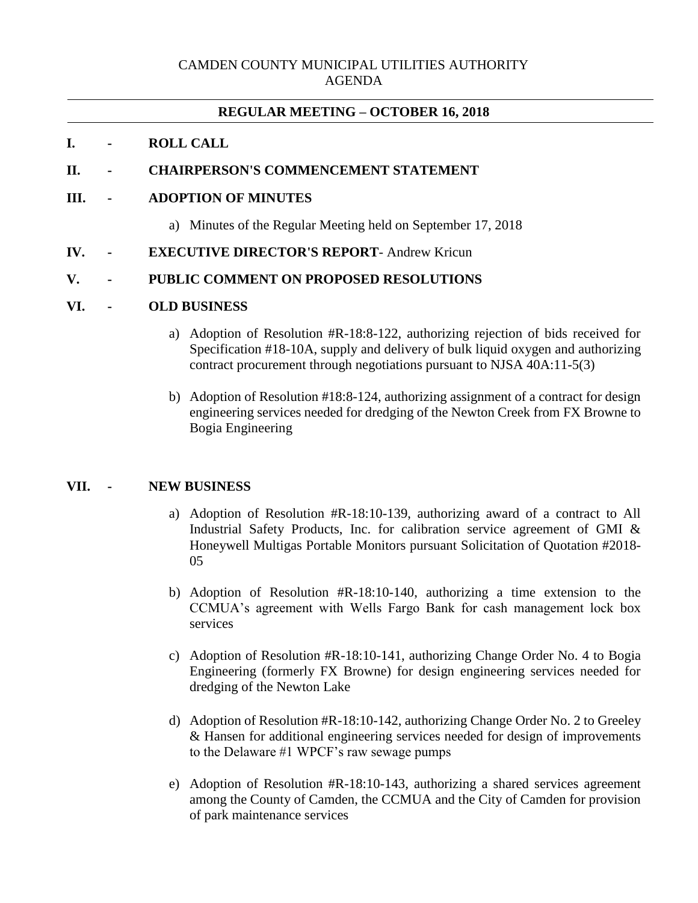# CAMDEN COUNTY MUNICIPAL UTILITIES AUTHORITY AGENDA

## **REGULAR MEETING – OCTOBER 16, 2018**

### **I. - ROLL CALL**

# **II. - CHAIRPERSON'S COMMENCEMENT STATEMENT**

### **III. - ADOPTION OF MINUTES**

a) Minutes of the Regular Meeting held on September 17, 2018

### **IV. - EXECUTIVE DIRECTOR'S REPORT**- Andrew Kricun

### **V. - PUBLIC COMMENT ON PROPOSED RESOLUTIONS**

#### **VI. - OLD BUSINESS**

- a) Adoption of Resolution #R-18:8-122, authorizing rejection of bids received for Specification #18-10A, supply and delivery of bulk liquid oxygen and authorizing contract procurement through negotiations pursuant to NJSA 40A:11-5(3)
- b) Adoption of Resolution #18:8-124, authorizing assignment of a contract for design engineering services needed for dredging of the Newton Creek from FX Browne to Bogia Engineering

## **VII. - NEW BUSINESS**

- a) Adoption of Resolution #R-18:10-139, authorizing award of a contract to All Industrial Safety Products, Inc. for calibration service agreement of GMI & Honeywell Multigas Portable Monitors pursuant Solicitation of Quotation #2018- 05
- b) Adoption of Resolution #R-18:10-140, authorizing a time extension to the CCMUA's agreement with Wells Fargo Bank for cash management lock box services
- c) Adoption of Resolution #R-18:10-141, authorizing Change Order No. 4 to Bogia Engineering (formerly FX Browne) for design engineering services needed for dredging of the Newton Lake
- d) Adoption of Resolution #R-18:10-142, authorizing Change Order No. 2 to Greeley & Hansen for additional engineering services needed for design of improvements to the Delaware #1 WPCF's raw sewage pumps
- e) Adoption of Resolution #R-18:10-143, authorizing a shared services agreement among the County of Camden, the CCMUA and the City of Camden for provision of park maintenance services